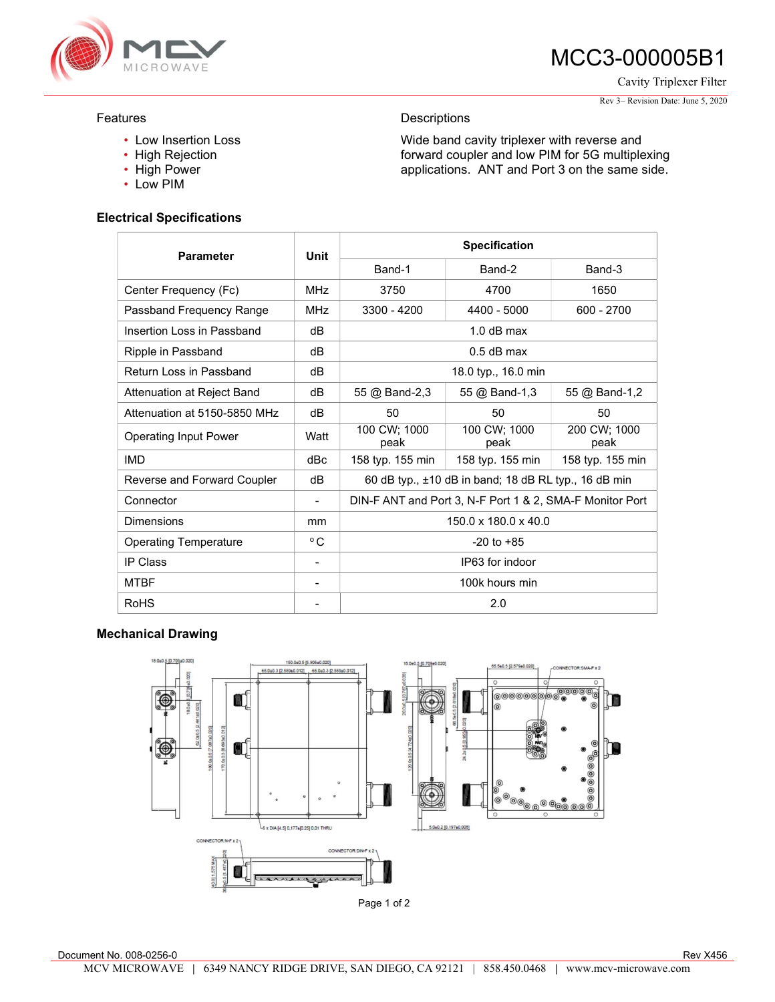

# MCC3-000005B1

Cavity Triplexer Filter

#### Rev 3– Revision Date: June 5, 2020

### Features

- Low Insertion Loss
- High Rejection
- High Power
- Low PIM

### Electrical Specifications

# Parameter Unit Specification Band-1 Band-2 Band-3 Center Frequency (Fc) MHz 3750 4700 1650 Passband Frequency Range MHz 3300 - 4200 4400 - 5000 600 - 2700 Insertion Loss in Passband dB dB 1.0 dB max Ripple in Passband and dB dB contract the contract of the 0.5 dB max Return Loss in Passband dB dB 18.0 typ., 16.0 min Attenuation at Reject Band dB 55 @ Band-2,3 55 @ Band-1,3 55 @ Band-1,2 Attenuation at 5150-5850 MHz dB 50 50 50 50 50 50 Operating Input Power Watt 100 CW; 1000 peak 100 CW; 1000 peak 200 CW; 1000 peak IMD dBc 158 typ. 155 min 158 typ. 155 min 158 typ. 155 min Reverse and Forward Coupler dB 60 dB typ., ±10 dB in band; 18 dB RL typ., 16 dB min Connector **CONNET ANT ANT ANT ANT 3, N-F Port 1 & 2, SMA-F Monitor Port** Dimensions mm 150.0 x 180.0 x 40.0 Operating Temperature **C**  $\circ$  C  $\circ$  **C**  $\circ$  -20 to +85 IP Class **IPC** Class **IPC IPC** IPC **IPG3** for indoor MTBF  $\overline{a}$   $\overline{b}$   $\overline{c}$   $\overline{d}$   $\overline{d}$   $\overline{d}$   $\overline{d}$   $\overline{d}$   $\overline{d}$   $\overline{d}$   $\overline{d}$   $\overline{d}$   $\overline{d}$   $\overline{d}$   $\overline{d}$   $\overline{d}$   $\overline{d}$   $\overline{d}$   $\overline{d}$   $\overline{d}$   $\overline{d}$   $\overline{d}$   $\overline{d}$   $\overline{d}$   $R$ oHS  $\qquad \qquad$  2.0

**Descriptions** 

Wide band cavity triplexer with reverse and forward coupler and low PIM for 5G multiplexing applications. ANT and Port 3 on the same side.

## Mechanical Drawing